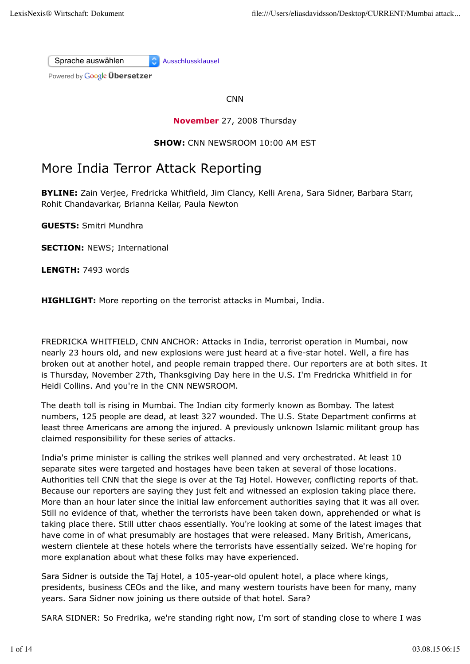Sprache auswählen Ausschlussklausel

Powered by **Google Übersetzer** 

**CNN** 

## **November** 27, 2008 Thursday

### **SHOW:** CNN NEWSROOM 10:00 AM EST

# More India Terror Attack Reporting

**BYLINE:** Zain Verjee, Fredricka Whitfield, Jim Clancy, Kelli Arena, Sara Sidner, Barbara Starr, Rohit Chandavarkar, Brianna Keilar, Paula Newton

**GUESTS:** Smitri Mundhra

**SECTION: NEWS: International** 

**LENGTH:** 7493 words

**HIGHLIGHT:** More reporting on the terrorist attacks in Mumbai, India.

FREDRICKA WHITFIELD, CNN ANCHOR: Attacks in India, terrorist operation in Mumbai, now nearly 23 hours old, and new explosions were just heard at a five-star hotel. Well, a fire has broken out at another hotel, and people remain trapped there. Our reporters are at both sites. It is Thursday, November 27th, Thanksgiving Day here in the U.S. I'm Fredricka Whitfield in for Heidi Collins. And you're in the CNN NEWSROOM.

The death toll is rising in Mumbai. The Indian city formerly known as Bombay. The latest numbers, 125 people are dead, at least 327 wounded. The U.S. State Department confirms at least three Americans are among the injured. A previously unknown Islamic militant group has claimed responsibility for these series of attacks.

India's prime minister is calling the strikes well planned and very orchestrated. At least 10 separate sites were targeted and hostages have been taken at several of those locations. Authorities tell CNN that the siege is over at the Taj Hotel. However, conflicting reports of that. Because our reporters are saying they just felt and witnessed an explosion taking place there. More than an hour later since the initial law enforcement authorities saying that it was all over. Still no evidence of that, whether the terrorists have been taken down, apprehended or what is taking place there. Still utter chaos essentially. You're looking at some of the latest images that have come in of what presumably are hostages that were released. Many British, Americans, western clientele at these hotels where the terrorists have essentially seized. We're hoping for more explanation about what these folks may have experienced.

Sara Sidner is outside the Taj Hotel, a 105-year-old opulent hotel, a place where kings, presidents, business CEOs and the like, and many western tourists have been for many, many years. Sara Sidner now joining us there outside of that hotel. Sara?

SARA SIDNER: So Fredrika, we're standing right now, I'm sort of standing close to where I was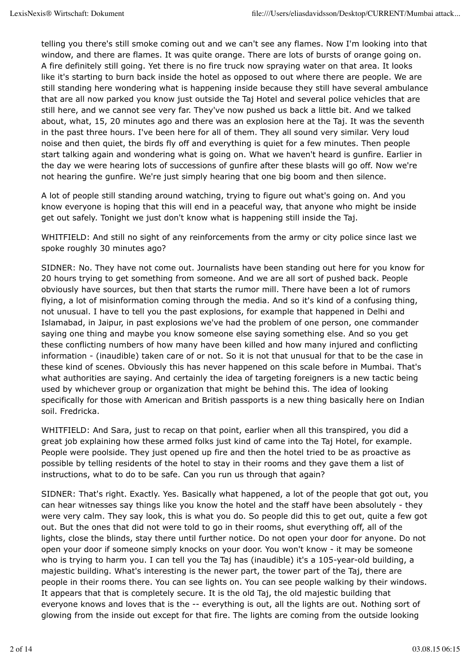telling you there's still smoke coming out and we can't see any flames. Now I'm looking into that window, and there are flames. It was quite orange. There are lots of bursts of orange going on. A fire definitely still going. Yet there is no fire truck now spraying water on that area. It looks like it's starting to burn back inside the hotel as opposed to out where there are people. We are still standing here wondering what is happening inside because they still have several ambulance that are all now parked you know just outside the Taj Hotel and several police vehicles that are still here, and we cannot see very far. They've now pushed us back a little bit. And we talked about, what, 15, 20 minutes ago and there was an explosion here at the Taj. It was the seventh in the past three hours. I've been here for all of them. They all sound very similar. Very loud noise and then quiet, the birds fly off and everything is quiet for a few minutes. Then people start talking again and wondering what is going on. What we haven't heard is gunfire. Earlier in the day we were hearing lots of successions of gunfire after these blasts will go off. Now we're not hearing the gunfire. We're just simply hearing that one big boom and then silence.

A lot of people still standing around watching, trying to figure out what's going on. And you know everyone is hoping that this will end in a peaceful way, that anyone who might be inside get out safely. Tonight we just don't know what is happening still inside the Taj.

WHITFIELD: And still no sight of any reinforcements from the army or city police since last we spoke roughly 30 minutes ago?

SIDNER: No. They have not come out. Journalists have been standing out here for you know for 20 hours trying to get something from someone. And we are all sort of pushed back. People obviously have sources, but then that starts the rumor mill. There have been a lot of rumors flying, a lot of misinformation coming through the media. And so it's kind of a confusing thing, not unusual. I have to tell you the past explosions, for example that happened in Delhi and Islamabad, in Jaipur, in past explosions we've had the problem of one person, one commander saying one thing and maybe you know someone else saying something else. And so you get these conflicting numbers of how many have been killed and how many injured and conflicting information - (inaudible) taken care of or not. So it is not that unusual for that to be the case in these kind of scenes. Obviously this has never happened on this scale before in Mumbai. That's what authorities are saying. And certainly the idea of targeting foreigners is a new tactic being used by whichever group or organization that might be behind this. The idea of looking specifically for those with American and British passports is a new thing basically here on Indian soil. Fredricka.

WHITFIELD: And Sara, just to recap on that point, earlier when all this transpired, you did a great job explaining how these armed folks just kind of came into the Taj Hotel, for example. People were poolside. They just opened up fire and then the hotel tried to be as proactive as possible by telling residents of the hotel to stay in their rooms and they gave them a list of instructions, what to do to be safe. Can you run us through that again?

SIDNER: That's right. Exactly. Yes. Basically what happened, a lot of the people that got out, you can hear witnesses say things like you know the hotel and the staff have been absolutely - they were very calm. They say look, this is what you do. So people did this to get out, quite a few got out. But the ones that did not were told to go in their rooms, shut everything off, all of the lights, close the blinds, stay there until further notice. Do not open your door for anyone. Do not open your door if someone simply knocks on your door. You won't know - it may be someone who is trying to harm you. I can tell you the Taj has (inaudible) it's a 105-year-old building, a majestic building. What's interesting is the newer part, the tower part of the Taj, there are people in their rooms there. You can see lights on. You can see people walking by their windows. It appears that that is completely secure. It is the old Taj, the old majestic building that everyone knows and loves that is the -- everything is out, all the lights are out. Nothing sort of glowing from the inside out except for that fire. The lights are coming from the outside looking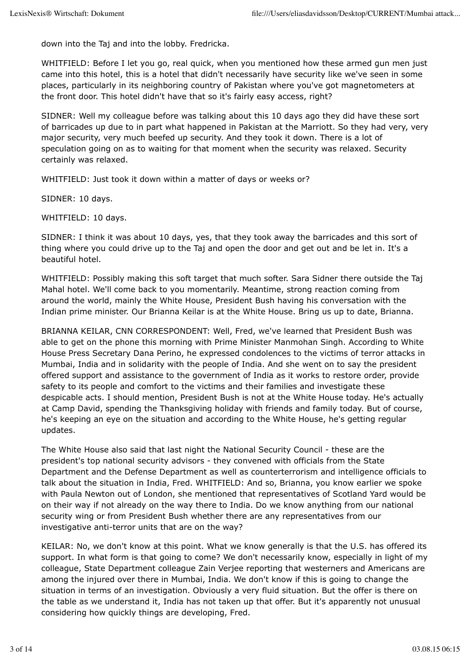down into the Taj and into the lobby. Fredricka.

WHITFIELD: Before I let you go, real quick, when you mentioned how these armed gun men just came into this hotel, this is a hotel that didn't necessarily have security like we've seen in some places, particularly in its neighboring country of Pakistan where you've got magnetometers at the front door. This hotel didn't have that so it's fairly easy access, right?

SIDNER: Well my colleague before was talking about this 10 days ago they did have these sort of barricades up due to in part what happened in Pakistan at the Marriott. So they had very, very major security, very much beefed up security. And they took it down. There is a lot of speculation going on as to waiting for that moment when the security was relaxed. Security certainly was relaxed.

WHITFIELD: Just took it down within a matter of days or weeks or?

SIDNER: 10 days.

WHITFIELD: 10 days.

SIDNER: I think it was about 10 days, yes, that they took away the barricades and this sort of thing where you could drive up to the Taj and open the door and get out and be let in. It's a beautiful hotel.

WHITFIELD: Possibly making this soft target that much softer. Sara Sidner there outside the Taj Mahal hotel. We'll come back to you momentarily. Meantime, strong reaction coming from around the world, mainly the White House, President Bush having his conversation with the Indian prime minister. Our Brianna Keilar is at the White House. Bring us up to date, Brianna.

BRIANNA KEILAR, CNN CORRESPONDENT: Well, Fred, we've learned that President Bush was able to get on the phone this morning with Prime Minister Manmohan Singh. According to White House Press Secretary Dana Perino, he expressed condolences to the victims of terror attacks in Mumbai, India and in solidarity with the people of India. And she went on to say the president offered support and assistance to the government of India as it works to restore order, provide safety to its people and comfort to the victims and their families and investigate these despicable acts. I should mention, President Bush is not at the White House today. He's actually at Camp David, spending the Thanksgiving holiday with friends and family today. But of course, he's keeping an eye on the situation and according to the White House, he's getting regular updates.

The White House also said that last night the National Security Council - these are the president's top national security advisors - they convened with officials from the State Department and the Defense Department as well as counterterrorism and intelligence officials to talk about the situation in India, Fred. WHITFIELD: And so, Brianna, you know earlier we spoke with Paula Newton out of London, she mentioned that representatives of Scotland Yard would be on their way if not already on the way there to India. Do we know anything from our national security wing or from President Bush whether there are any representatives from our investigative anti-terror units that are on the way?

KEILAR: No, we don't know at this point. What we know generally is that the U.S. has offered its support. In what form is that going to come? We don't necessarily know, especially in light of my colleague, State Department colleague Zain Verjee reporting that westerners and Americans are among the injured over there in Mumbai, India. We don't know if this is going to change the situation in terms of an investigation. Obviously a very fluid situation. But the offer is there on the table as we understand it, India has not taken up that offer. But it's apparently not unusual considering how quickly things are developing, Fred.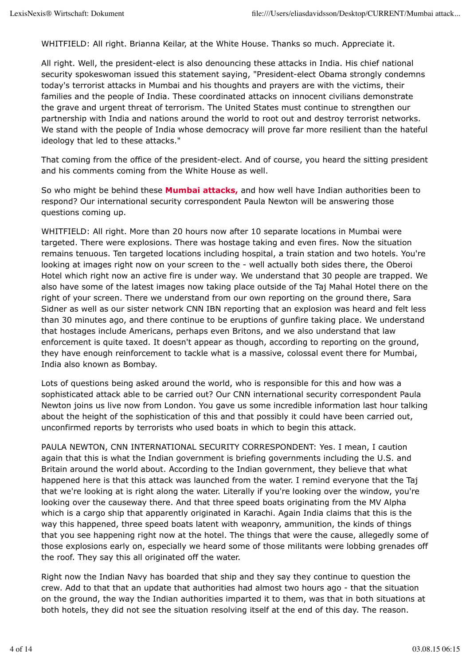WHITFIELD: All right. Brianna Keilar, at the White House. Thanks so much. Appreciate it.

All right. Well, the president-elect is also denouncing these attacks in India. His chief national security spokeswoman issued this statement saying, "President-elect Obama strongly condemns today's terrorist attacks in Mumbai and his thoughts and prayers are with the victims, their families and the people of India. These coordinated attacks on innocent civilians demonstrate the grave and urgent threat of terrorism. The United States must continue to strengthen our partnership with India and nations around the world to root out and destroy terrorist networks. We stand with the people of India whose democracy will prove far more resilient than the hateful ideology that led to these attacks."

That coming from the office of the president-elect. And of course, you heard the sitting president and his comments coming from the White House as well.

So who might be behind these **Mumbai attacks,** and how well have Indian authorities been to respond? Our international security correspondent Paula Newton will be answering those questions coming up.

WHITFIELD: All right. More than 20 hours now after 10 separate locations in Mumbai were targeted. There were explosions. There was hostage taking and even fires. Now the situation remains tenuous. Ten targeted locations including hospital, a train station and two hotels. You're looking at images right now on your screen to the - well actually both sides there, the Oberoi Hotel which right now an active fire is under way. We understand that 30 people are trapped. We also have some of the latest images now taking place outside of the Taj Mahal Hotel there on the right of your screen. There we understand from our own reporting on the ground there, Sara Sidner as well as our sister network CNN IBN reporting that an explosion was heard and felt less than 30 minutes ago, and there continue to be eruptions of gunfire taking place. We understand that hostages include Americans, perhaps even Britons, and we also understand that law enforcement is quite taxed. It doesn't appear as though, according to reporting on the ground, they have enough reinforcement to tackle what is a massive, colossal event there for Mumbai, India also known as Bombay.

Lots of questions being asked around the world, who is responsible for this and how was a sophisticated attack able to be carried out? Our CNN international security correspondent Paula Newton joins us live now from London. You gave us some incredible information last hour talking about the height of the sophistication of this and that possibly it could have been carried out, unconfirmed reports by terrorists who used boats in which to begin this attack.

PAULA NEWTON, CNN INTERNATIONAL SECURITY CORRESPONDENT: Yes. I mean, I caution again that this is what the Indian government is briefing governments including the U.S. and Britain around the world about. According to the Indian government, they believe that what happened here is that this attack was launched from the water. I remind everyone that the Taj that we're looking at is right along the water. Literally if you're looking over the window, you're looking over the causeway there. And that three speed boats originating from the MV Alpha which is a cargo ship that apparently originated in Karachi. Again India claims that this is the way this happened, three speed boats latent with weaponry, ammunition, the kinds of things that you see happening right now at the hotel. The things that were the cause, allegedly some of those explosions early on, especially we heard some of those militants were lobbing grenades off the roof. They say this all originated off the water.

Right now the Indian Navy has boarded that ship and they say they continue to question the crew. Add to that that an update that authorities had almost two hours ago - that the situation on the ground, the way the Indian authorities imparted it to them, was that in both situations at both hotels, they did not see the situation resolving itself at the end of this day. The reason.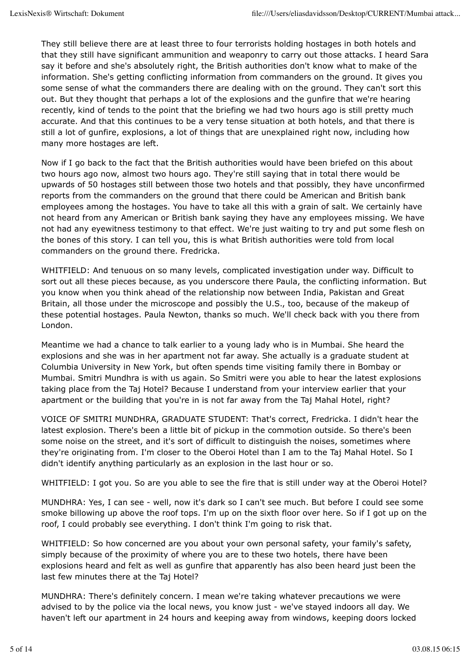They still believe there are at least three to four terrorists holding hostages in both hotels and that they still have significant ammunition and weaponry to carry out those attacks. I heard Sara say it before and she's absolutely right, the British authorities don't know what to make of the information. She's getting conflicting information from commanders on the ground. It gives you some sense of what the commanders there are dealing with on the ground. They can't sort this out. But they thought that perhaps a lot of the explosions and the gunfire that we're hearing recently, kind of tends to the point that the briefing we had two hours ago is still pretty much accurate. And that this continues to be a very tense situation at both hotels, and that there is still a lot of gunfire, explosions, a lot of things that are unexplained right now, including how many more hostages are left.

Now if I go back to the fact that the British authorities would have been briefed on this about two hours ago now, almost two hours ago. They're still saying that in total there would be upwards of 50 hostages still between those two hotels and that possibly, they have unconfirmed reports from the commanders on the ground that there could be American and British bank employees among the hostages. You have to take all this with a grain of salt. We certainly have not heard from any American or British bank saying they have any employees missing. We have not had any eyewitness testimony to that effect. We're just waiting to try and put some flesh on the bones of this story. I can tell you, this is what British authorities were told from local commanders on the ground there. Fredricka.

WHITFIELD: And tenuous on so many levels, complicated investigation under way. Difficult to sort out all these pieces because, as you underscore there Paula, the conflicting information. But you know when you think ahead of the relationship now between India, Pakistan and Great Britain, all those under the microscope and possibly the U.S., too, because of the makeup of these potential hostages. Paula Newton, thanks so much. We'll check back with you there from London.

Meantime we had a chance to talk earlier to a young lady who is in Mumbai. She heard the explosions and she was in her apartment not far away. She actually is a graduate student at Columbia University in New York, but often spends time visiting family there in Bombay or Mumbai. Smitri Mundhra is with us again. So Smitri were you able to hear the latest explosions taking place from the Taj Hotel? Because I understand from your interview earlier that your apartment or the building that you're in is not far away from the Taj Mahal Hotel, right?

VOICE OF SMITRI MUNDHRA, GRADUATE STUDENT: That's correct, Fredricka. I didn't hear the latest explosion. There's been a little bit of pickup in the commotion outside. So there's been some noise on the street, and it's sort of difficult to distinguish the noises, sometimes where they're originating from. I'm closer to the Oberoi Hotel than I am to the Taj Mahal Hotel. So I didn't identify anything particularly as an explosion in the last hour or so.

WHITFIELD: I got you. So are you able to see the fire that is still under way at the Oberoi Hotel?

MUNDHRA: Yes, I can see - well, now it's dark so I can't see much. But before I could see some smoke billowing up above the roof tops. I'm up on the sixth floor over here. So if I got up on the roof, I could probably see everything. I don't think I'm going to risk that.

WHITFIELD: So how concerned are you about your own personal safety, your family's safety, simply because of the proximity of where you are to these two hotels, there have been explosions heard and felt as well as gunfire that apparently has also been heard just been the last few minutes there at the Taj Hotel?

MUNDHRA: There's definitely concern. I mean we're taking whatever precautions we were advised to by the police via the local news, you know just - we've stayed indoors all day. We haven't left our apartment in 24 hours and keeping away from windows, keeping doors locked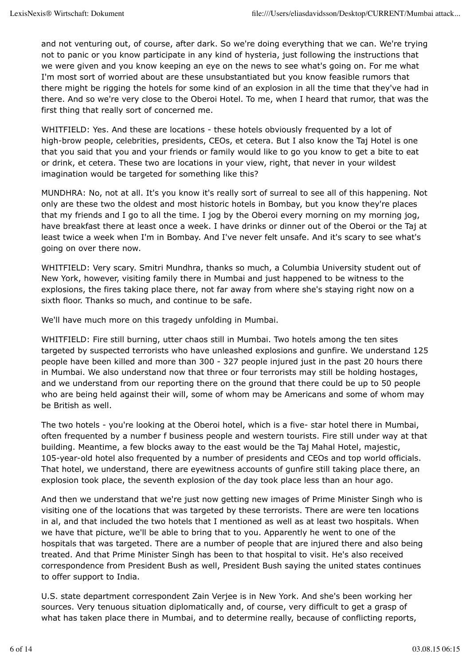and not venturing out, of course, after dark. So we're doing everything that we can. We're trying not to panic or you know participate in any kind of hysteria, just following the instructions that we were given and you know keeping an eye on the news to see what's going on. For me what I'm most sort of worried about are these unsubstantiated but you know feasible rumors that there might be rigging the hotels for some kind of an explosion in all the time that they've had in there. And so we're very close to the Oberoi Hotel. To me, when I heard that rumor, that was the first thing that really sort of concerned me.

WHITFIELD: Yes. And these are locations - these hotels obviously frequented by a lot of high-brow people, celebrities, presidents, CEOs, et cetera. But I also know the Taj Hotel is one that you said that you and your friends or family would like to go you know to get a bite to eat or drink, et cetera. These two are locations in your view, right, that never in your wildest imagination would be targeted for something like this?

MUNDHRA: No, not at all. It's you know it's really sort of surreal to see all of this happening. Not only are these two the oldest and most historic hotels in Bombay, but you know they're places that my friends and I go to all the time. I jog by the Oberoi every morning on my morning jog, have breakfast there at least once a week. I have drinks or dinner out of the Oberoi or the Taj at least twice a week when I'm in Bombay. And I've never felt unsafe. And it's scary to see what's going on over there now.

WHITFIELD: Very scary. Smitri Mundhra, thanks so much, a Columbia University student out of New York, however, visiting family there in Mumbai and just happened to be witness to the explosions, the fires taking place there, not far away from where she's staying right now on a sixth floor. Thanks so much, and continue to be safe.

We'll have much more on this tragedy unfolding in Mumbai.

WHITFIELD: Fire still burning, utter chaos still in Mumbai. Two hotels among the ten sites targeted by suspected terrorists who have unleashed explosions and gunfire. We understand 125 people have been killed and more than 300 - 327 people injured just in the past 20 hours there in Mumbai. We also understand now that three or four terrorists may still be holding hostages, and we understand from our reporting there on the ground that there could be up to 50 people who are being held against their will, some of whom may be Americans and some of whom may be British as well.

The two hotels - you're looking at the Oberoi hotel, which is a five- star hotel there in Mumbai, often frequented by a number f business people and western tourists. Fire still under way at that building. Meantime, a few blocks away to the east would be the Taj Mahal Hotel, majestic, 105-year-old hotel also frequented by a number of presidents and CEOs and top world officials. That hotel, we understand, there are eyewitness accounts of gunfire still taking place there, an explosion took place, the seventh explosion of the day took place less than an hour ago.

And then we understand that we're just now getting new images of Prime Minister Singh who is visiting one of the locations that was targeted by these terrorists. There are were ten locations in al, and that included the two hotels that I mentioned as well as at least two hospitals. When we have that picture, we'll be able to bring that to you. Apparently he went to one of the hospitals that was targeted. There are a number of people that are injured there and also being treated. And that Prime Minister Singh has been to that hospital to visit. He's also received correspondence from President Bush as well, President Bush saying the united states continues to offer support to India.

U.S. state department correspondent Zain Verjee is in New York. And she's been working her sources. Very tenuous situation diplomatically and, of course, very difficult to get a grasp of what has taken place there in Mumbai, and to determine really, because of conflicting reports,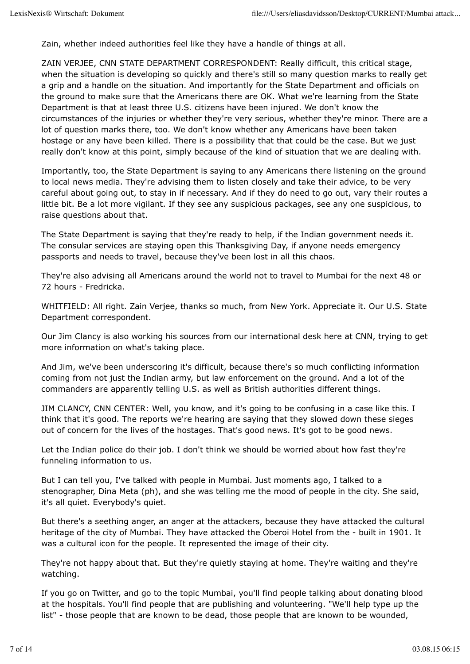Zain, whether indeed authorities feel like they have a handle of things at all.

ZAIN VERJEE, CNN STATE DEPARTMENT CORRESPONDENT: Really difficult, this critical stage, when the situation is developing so quickly and there's still so many question marks to really get a grip and a handle on the situation. And importantly for the State Department and officials on the ground to make sure that the Americans there are OK. What we're learning from the State Department is that at least three U.S. citizens have been injured. We don't know the circumstances of the injuries or whether they're very serious, whether they're minor. There are a lot of question marks there, too. We don't know whether any Americans have been taken hostage or any have been killed. There is a possibility that that could be the case. But we just really don't know at this point, simply because of the kind of situation that we are dealing with.

Importantly, too, the State Department is saying to any Americans there listening on the ground to local news media. They're advising them to listen closely and take their advice, to be very careful about going out, to stay in if necessary. And if they do need to go out, vary their routes a little bit. Be a lot more vigilant. If they see any suspicious packages, see any one suspicious, to raise questions about that.

The State Department is saying that they're ready to help, if the Indian government needs it. The consular services are staying open this Thanksgiving Day, if anyone needs emergency passports and needs to travel, because they've been lost in all this chaos.

They're also advising all Americans around the world not to travel to Mumbai for the next 48 or 72 hours - Fredricka.

WHITFIELD: All right. Zain Verjee, thanks so much, from New York. Appreciate it. Our U.S. State Department correspondent.

Our Jim Clancy is also working his sources from our international desk here at CNN, trying to get more information on what's taking place.

And Jim, we've been underscoring it's difficult, because there's so much conflicting information coming from not just the Indian army, but law enforcement on the ground. And a lot of the commanders are apparently telling U.S. as well as British authorities different things.

JIM CLANCY, CNN CENTER: Well, you know, and it's going to be confusing in a case like this. I think that it's good. The reports we're hearing are saying that they slowed down these sieges out of concern for the lives of the hostages. That's good news. It's got to be good news.

Let the Indian police do their job. I don't think we should be worried about how fast they're funneling information to us.

But I can tell you, I've talked with people in Mumbai. Just moments ago, I talked to a stenographer, Dina Meta (ph), and she was telling me the mood of people in the city. She said, it's all quiet. Everybody's quiet.

But there's a seething anger, an anger at the attackers, because they have attacked the cultural heritage of the city of Mumbai. They have attacked the Oberoi Hotel from the - built in 1901. It was a cultural icon for the people. It represented the image of their city.

They're not happy about that. But they're quietly staying at home. They're waiting and they're watching.

If you go on Twitter, and go to the topic Mumbai, you'll find people talking about donating blood at the hospitals. You'll find people that are publishing and volunteering. "We'll help type up the list" - those people that are known to be dead, those people that are known to be wounded,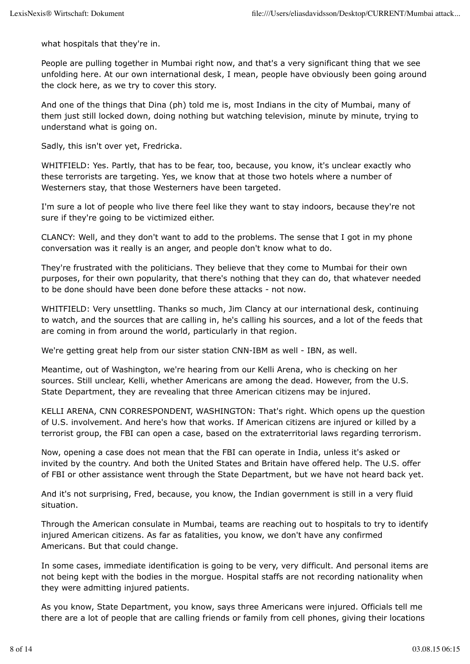what hospitals that they're in.

People are pulling together in Mumbai right now, and that's a very significant thing that we see unfolding here. At our own international desk, I mean, people have obviously been going around the clock here, as we try to cover this story.

And one of the things that Dina (ph) told me is, most Indians in the city of Mumbai, many of them just still locked down, doing nothing but watching television, minute by minute, trying to understand what is going on.

Sadly, this isn't over yet, Fredricka.

WHITFIELD: Yes. Partly, that has to be fear, too, because, you know, it's unclear exactly who these terrorists are targeting. Yes, we know that at those two hotels where a number of Westerners stay, that those Westerners have been targeted.

I'm sure a lot of people who live there feel like they want to stay indoors, because they're not sure if they're going to be victimized either.

CLANCY: Well, and they don't want to add to the problems. The sense that I got in my phone conversation was it really is an anger, and people don't know what to do.

They're frustrated with the politicians. They believe that they come to Mumbai for their own purposes, for their own popularity, that there's nothing that they can do, that whatever needed to be done should have been done before these attacks - not now.

WHITFIELD: Very unsettling. Thanks so much, Jim Clancy at our international desk, continuing to watch, and the sources that are calling in, he's calling his sources, and a lot of the feeds that are coming in from around the world, particularly in that region.

We're getting great help from our sister station CNN-IBM as well - IBN, as well.

Meantime, out of Washington, we're hearing from our Kelli Arena, who is checking on her sources. Still unclear, Kelli, whether Americans are among the dead. However, from the U.S. State Department, they are revealing that three American citizens may be injured.

KELLI ARENA, CNN CORRESPONDENT, WASHINGTON: That's right. Which opens up the question of U.S. involvement. And here's how that works. If American citizens are injured or killed by a terrorist group, the FBI can open a case, based on the extraterritorial laws regarding terrorism.

Now, opening a case does not mean that the FBI can operate in India, unless it's asked or invited by the country. And both the United States and Britain have offered help. The U.S. offer of FBI or other assistance went through the State Department, but we have not heard back yet.

And it's not surprising, Fred, because, you know, the Indian government is still in a very fluid situation.

Through the American consulate in Mumbai, teams are reaching out to hospitals to try to identify injured American citizens. As far as fatalities, you know, we don't have any confirmed Americans. But that could change.

In some cases, immediate identification is going to be very, very difficult. And personal items are not being kept with the bodies in the morgue. Hospital staffs are not recording nationality when they were admitting injured patients.

As you know, State Department, you know, says three Americans were injured. Officials tell me there are a lot of people that are calling friends or family from cell phones, giving their locations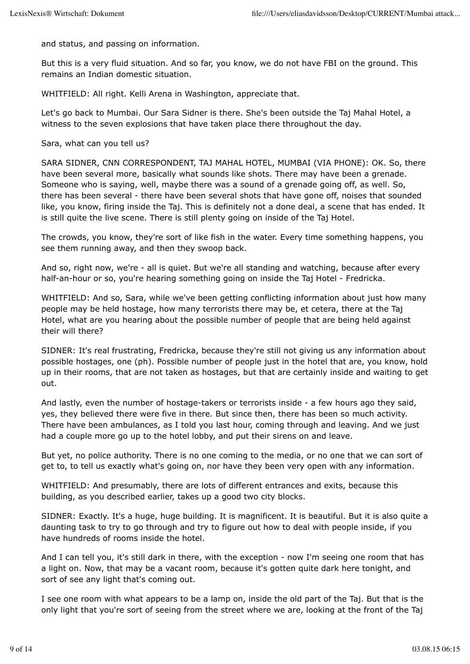and status, and passing on information.

But this is a very fluid situation. And so far, you know, we do not have FBI on the ground. This remains an Indian domestic situation.

WHITFIELD: All right. Kelli Arena in Washington, appreciate that.

Let's go back to Mumbai. Our Sara Sidner is there. She's been outside the Taj Mahal Hotel, a witness to the seven explosions that have taken place there throughout the day.

Sara, what can you tell us?

SARA SIDNER, CNN CORRESPONDENT, TAJ MAHAL HOTEL, MUMBAI (VIA PHONE): OK. So, there have been several more, basically what sounds like shots. There may have been a grenade. Someone who is saying, well, maybe there was a sound of a grenade going off, as well. So, there has been several - there have been several shots that have gone off, noises that sounded like, you know, firing inside the Taj. This is definitely not a done deal, a scene that has ended. It is still quite the live scene. There is still plenty going on inside of the Taj Hotel.

The crowds, you know, they're sort of like fish in the water. Every time something happens, you see them running away, and then they swoop back.

And so, right now, we're - all is quiet. But we're all standing and watching, because after every half-an-hour or so, you're hearing something going on inside the Taj Hotel - Fredricka.

WHITFIELD: And so, Sara, while we've been getting conflicting information about just how many people may be held hostage, how many terrorists there may be, et cetera, there at the Taj Hotel, what are you hearing about the possible number of people that are being held against their will there?

SIDNER: It's real frustrating, Fredricka, because they're still not giving us any information about possible hostages, one (ph). Possible number of people just in the hotel that are, you know, hold up in their rooms, that are not taken as hostages, but that are certainly inside and waiting to get out.

And lastly, even the number of hostage-takers or terrorists inside - a few hours ago they said, yes, they believed there were five in there. But since then, there has been so much activity. There have been ambulances, as I told you last hour, coming through and leaving. And we just had a couple more go up to the hotel lobby, and put their sirens on and leave.

But yet, no police authority. There is no one coming to the media, or no one that we can sort of get to, to tell us exactly what's going on, nor have they been very open with any information.

WHITFIELD: And presumably, there are lots of different entrances and exits, because this building, as you described earlier, takes up a good two city blocks.

SIDNER: Exactly. It's a huge, huge building. It is magnificent. It is beautiful. But it is also quite a daunting task to try to go through and try to figure out how to deal with people inside, if you have hundreds of rooms inside the hotel.

And I can tell you, it's still dark in there, with the exception - now I'm seeing one room that has a light on. Now, that may be a vacant room, because it's gotten quite dark here tonight, and sort of see any light that's coming out.

I see one room with what appears to be a lamp on, inside the old part of the Taj. But that is the only light that you're sort of seeing from the street where we are, looking at the front of the Taj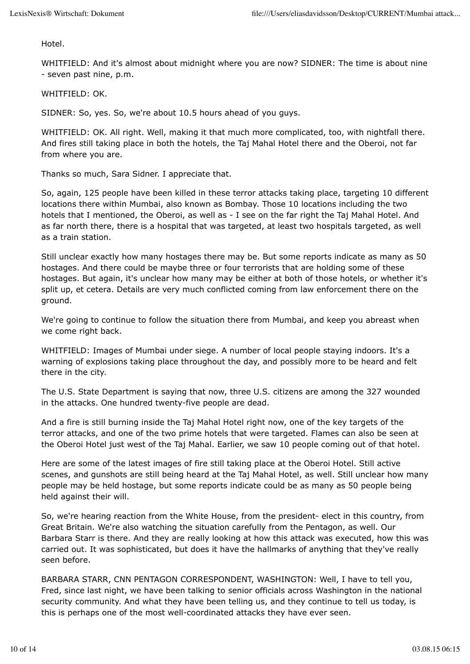Hotel.

WHITFIELD: And it's almost about midnight where you are now? SIDNER: The time is about nine - seven past nine, p.m.

WHITFIFLD: OK

SIDNER: So, yes. So, we're about 10.5 hours ahead of you guys.

WHITFIELD: OK. All right. Well, making it that much more complicated, too, with nightfall there. And fires still taking place in both the hotels, the Taj Mahal Hotel there and the Oberoi, not far from where you are.

Thanks so much, Sara Sidner. I appreciate that.

So, again, 125 people have been killed in these terror attacks taking place, targeting 10 different locations there within Mumbai, also known as Bombay. Those 10 locations including the two hotels that I mentioned, the Oberoi, as well as - I see on the far right the Taj Mahal Hotel. And as far north there, there is a hospital that was targeted, at least two hospitals targeted, as well as a train station.

Still unclear exactly how many hostages there may be. But some reports indicate as many as 50 hostages. And there could be maybe three or four terrorists that are holding some of these hostages. But again, it's unclear how many may be either at both of those hotels, or whether it's split up, et cetera. Details are very much conflicted coming from law enforcement there on the ground.

We're going to continue to follow the situation there from Mumbai, and keep you abreast when we come right back.

WHITFIELD: Images of Mumbai under siege. A number of local people staying indoors. It's a warning of explosions taking place throughout the day, and possibly more to be heard and felt there in the city.

The U.S. State Department is saying that now, three U.S. citizens are among the 327 wounded in the attacks. One hundred twenty-five people are dead.

And a fire is still burning inside the Taj Mahal Hotel right now, one of the key targets of the terror attacks, and one of the two prime hotels that were targeted. Flames can also be seen at the Oberoi Hotel just west of the Taj Mahal. Earlier, we saw 10 people coming out of that hotel.

Here are some of the latest images of fire still taking place at the Oberoi Hotel. Still active scenes, and gunshots are still being heard at the Taj Mahal Hotel, as well. Still unclear how many people may be held hostage, but some reports indicate could be as many as 50 people being held against their will.

So, we're hearing reaction from the White House, from the president- elect in this country, from Great Britain. We're also watching the situation carefully from the Pentagon, as well. Our Barbara Starr is there. And they are really looking at how this attack was executed, how this was carried out. It was sophisticated, but does it have the hallmarks of anything that they've really seen before.

BARBARA STARR, CNN PENTAGON CORRESPONDENT, WASHINGTON: Well, I have to tell you, Fred, since last night, we have been talking to senior officials across Washington in the national security community. And what they have been telling us, and they continue to tell us today, is this is perhaps one of the most well-coordinated attacks they have ever seen.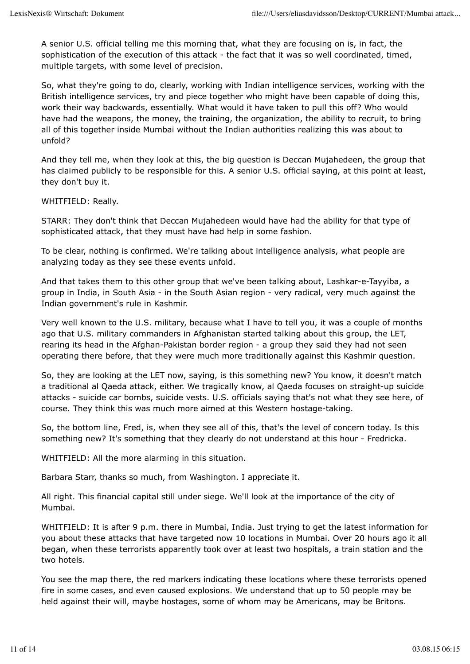A senior U.S. official telling me this morning that, what they are focusing on is, in fact, the sophistication of the execution of this attack - the fact that it was so well coordinated, timed, multiple targets, with some level of precision.

So, what they're going to do, clearly, working with Indian intelligence services, working with the British intelligence services, try and piece together who might have been capable of doing this, work their way backwards, essentially. What would it have taken to pull this off? Who would have had the weapons, the money, the training, the organization, the ability to recruit, to bring all of this together inside Mumbai without the Indian authorities realizing this was about to unfold?

And they tell me, when they look at this, the big question is Deccan Mujahedeen, the group that has claimed publicly to be responsible for this. A senior U.S. official saying, at this point at least, they don't buy it.

#### WHITFIELD: Really.

STARR: They don't think that Deccan Mujahedeen would have had the ability for that type of sophisticated attack, that they must have had help in some fashion.

To be clear, nothing is confirmed. We're talking about intelligence analysis, what people are analyzing today as they see these events unfold.

And that takes them to this other group that we've been talking about, Lashkar-e-Tayyiba, a group in India, in South Asia - in the South Asian region - very radical, very much against the Indian government's rule in Kashmir.

Very well known to the U.S. military, because what I have to tell you, it was a couple of months ago that U.S. military commanders in Afghanistan started talking about this group, the LET, rearing its head in the Afghan-Pakistan border region - a group they said they had not seen operating there before, that they were much more traditionally against this Kashmir question.

So, they are looking at the LET now, saying, is this something new? You know, it doesn't match a traditional al Qaeda attack, either. We tragically know, al Qaeda focuses on straight-up suicide attacks - suicide car bombs, suicide vests. U.S. officials saying that's not what they see here, of course. They think this was much more aimed at this Western hostage-taking.

So, the bottom line, Fred, is, when they see all of this, that's the level of concern today. Is this something new? It's something that they clearly do not understand at this hour - Fredricka.

WHITFIELD: All the more alarming in this situation.

Barbara Starr, thanks so much, from Washington. I appreciate it.

All right. This financial capital still under siege. We'll look at the importance of the city of Mumbai.

WHITFIELD: It is after 9 p.m. there in Mumbai, India. Just trying to get the latest information for you about these attacks that have targeted now 10 locations in Mumbai. Over 20 hours ago it all began, when these terrorists apparently took over at least two hospitals, a train station and the two hotels.

You see the map there, the red markers indicating these locations where these terrorists opened fire in some cases, and even caused explosions. We understand that up to 50 people may be held against their will, maybe hostages, some of whom may be Americans, may be Britons.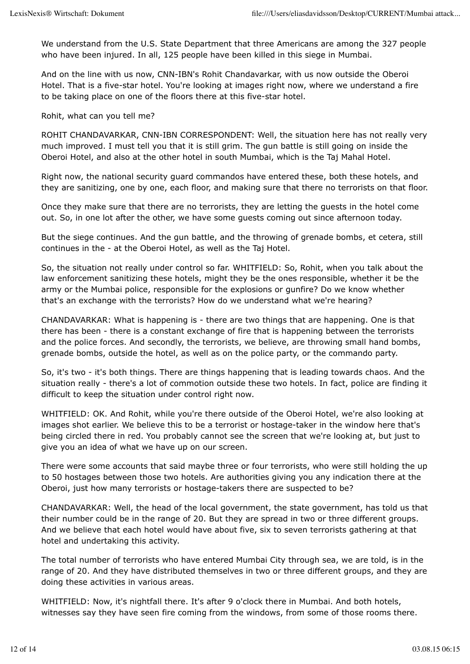We understand from the U.S. State Department that three Americans are among the 327 people who have been injured. In all, 125 people have been killed in this siege in Mumbai.

And on the line with us now, CNN-IBN's Rohit Chandavarkar, with us now outside the Oberoi Hotel. That is a five-star hotel. You're looking at images right now, where we understand a fire to be taking place on one of the floors there at this five-star hotel.

Rohit, what can you tell me?

ROHIT CHANDAVARKAR, CNN-IBN CORRESPONDENT: Well, the situation here has not really very much improved. I must tell you that it is still grim. The gun battle is still going on inside the Oberoi Hotel, and also at the other hotel in south Mumbai, which is the Taj Mahal Hotel.

Right now, the national security guard commandos have entered these, both these hotels, and they are sanitizing, one by one, each floor, and making sure that there no terrorists on that floor.

Once they make sure that there are no terrorists, they are letting the guests in the hotel come out. So, in one lot after the other, we have some guests coming out since afternoon today.

But the siege continues. And the gun battle, and the throwing of grenade bombs, et cetera, still continues in the - at the Oberoi Hotel, as well as the Taj Hotel.

So, the situation not really under control so far. WHITFIELD: So, Rohit, when you talk about the law enforcement sanitizing these hotels, might they be the ones responsible, whether it be the army or the Mumbai police, responsible for the explosions or gunfire? Do we know whether that's an exchange with the terrorists? How do we understand what we're hearing?

CHANDAVARKAR: What is happening is - there are two things that are happening. One is that there has been - there is a constant exchange of fire that is happening between the terrorists and the police forces. And secondly, the terrorists, we believe, are throwing small hand bombs, grenade bombs, outside the hotel, as well as on the police party, or the commando party.

So, it's two - it's both things. There are things happening that is leading towards chaos. And the situation really - there's a lot of commotion outside these two hotels. In fact, police are finding it difficult to keep the situation under control right now.

WHITFIELD: OK. And Rohit, while you're there outside of the Oberoi Hotel, we're also looking at images shot earlier. We believe this to be a terrorist or hostage-taker in the window here that's being circled there in red. You probably cannot see the screen that we're looking at, but just to give you an idea of what we have up on our screen.

There were some accounts that said maybe three or four terrorists, who were still holding the up to 50 hostages between those two hotels. Are authorities giving you any indication there at the Oberoi, just how many terrorists or hostage-takers there are suspected to be?

CHANDAVARKAR: Well, the head of the local government, the state government, has told us that their number could be in the range of 20. But they are spread in two or three different groups. And we believe that each hotel would have about five, six to seven terrorists gathering at that hotel and undertaking this activity.

The total number of terrorists who have entered Mumbai City through sea, we are told, is in the range of 20. And they have distributed themselves in two or three different groups, and they are doing these activities in various areas.

WHITFIELD: Now, it's nightfall there. It's after 9 o'clock there in Mumbai. And both hotels, witnesses say they have seen fire coming from the windows, from some of those rooms there.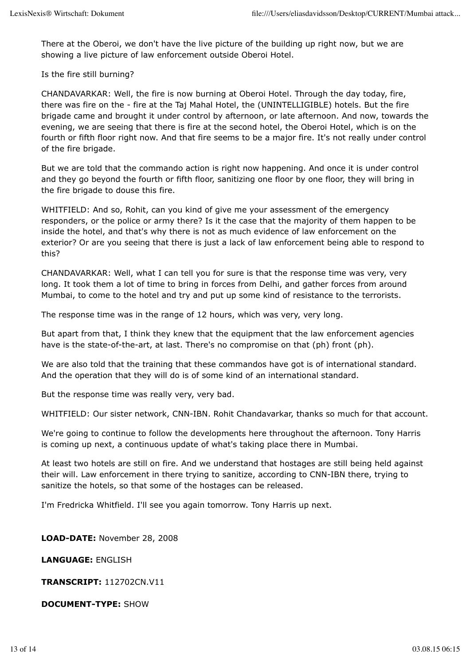There at the Oberoi, we don't have the live picture of the building up right now, but we are showing a live picture of law enforcement outside Oberoi Hotel.

Is the fire still burning?

CHANDAVARKAR: Well, the fire is now burning at Oberoi Hotel. Through the day today, fire, there was fire on the - fire at the Taj Mahal Hotel, the (UNINTELLIGIBLE) hotels. But the fire brigade came and brought it under control by afternoon, or late afternoon. And now, towards the evening, we are seeing that there is fire at the second hotel, the Oberoi Hotel, which is on the fourth or fifth floor right now. And that fire seems to be a major fire. It's not really under control of the fire brigade.

But we are told that the commando action is right now happening. And once it is under control and they go beyond the fourth or fifth floor, sanitizing one floor by one floor, they will bring in the fire brigade to douse this fire.

WHITFIELD: And so, Rohit, can you kind of give me your assessment of the emergency responders, or the police or army there? Is it the case that the majority of them happen to be inside the hotel, and that's why there is not as much evidence of law enforcement on the exterior? Or are you seeing that there is just a lack of law enforcement being able to respond to this?

CHANDAVARKAR: Well, what I can tell you for sure is that the response time was very, very long. It took them a lot of time to bring in forces from Delhi, and gather forces from around Mumbai, to come to the hotel and try and put up some kind of resistance to the terrorists.

The response time was in the range of 12 hours, which was very, very long.

But apart from that, I think they knew that the equipment that the law enforcement agencies have is the state-of-the-art, at last. There's no compromise on that (ph) front (ph).

We are also told that the training that these commandos have got is of international standard. And the operation that they will do is of some kind of an international standard.

But the response time was really very, very bad.

WHITFIELD: Our sister network, CNN-IBN. Rohit Chandavarkar, thanks so much for that account.

We're going to continue to follow the developments here throughout the afternoon. Tony Harris is coming up next, a continuous update of what's taking place there in Mumbai.

At least two hotels are still on fire. And we understand that hostages are still being held against their will. Law enforcement in there trying to sanitize, according to CNN-IBN there, trying to sanitize the hotels, so that some of the hostages can be released.

I'm Fredricka Whitfield. I'll see you again tomorrow. Tony Harris up next.

**LOAD-DATE:** November 28, 2008

**LANGUAGE:** ENGLISH

**TRANSCRIPT:** 112702CN.V11

**DOCUMENT-TYPE:** SHOW